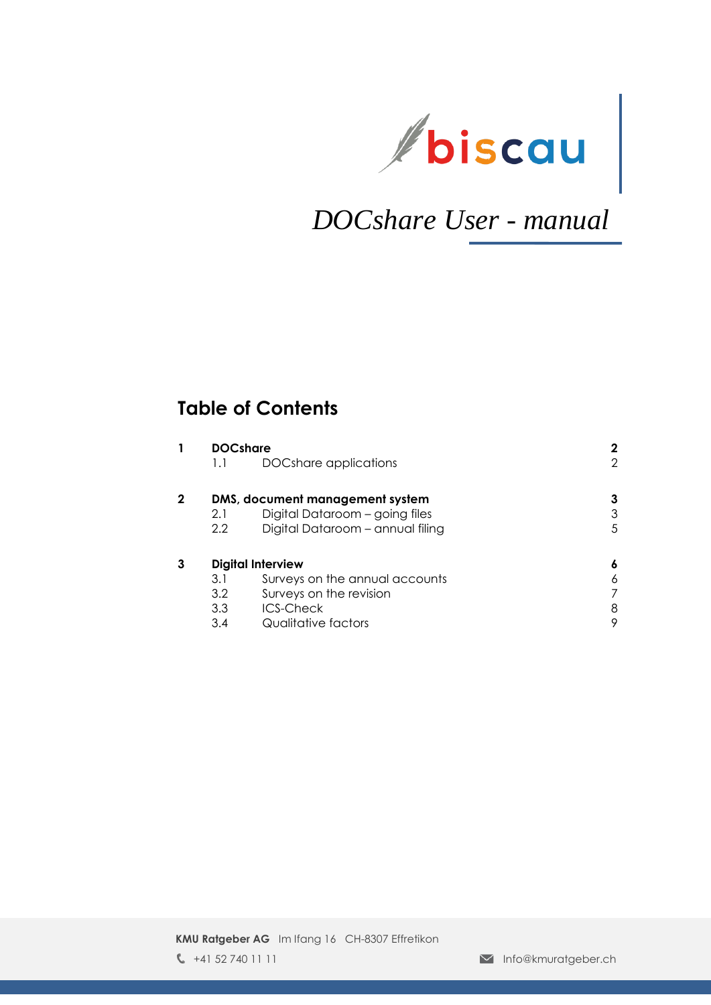

# *DOCshare User - manual*

### **Table of Contents**

| 1.1 | DOCshare applications            | 2                                                                       |
|-----|----------------------------------|-------------------------------------------------------------------------|
|     |                                  | 3                                                                       |
| 2.1 | Digital Dataroom - going files   | 3                                                                       |
| 2.2 | Digital Dataroom - annual filing | 5                                                                       |
|     |                                  | 6                                                                       |
| 3.1 | Surveys on the annual accounts   | 6                                                                       |
| 3.2 | Surveys on the revision          |                                                                         |
| 3.3 | <b>ICS-Check</b>                 | 8                                                                       |
| 3.4 | Qualitative factors              | 9                                                                       |
|     |                                  | <b>DOCshare</b><br>DMS, document management system<br>Digital Interview |

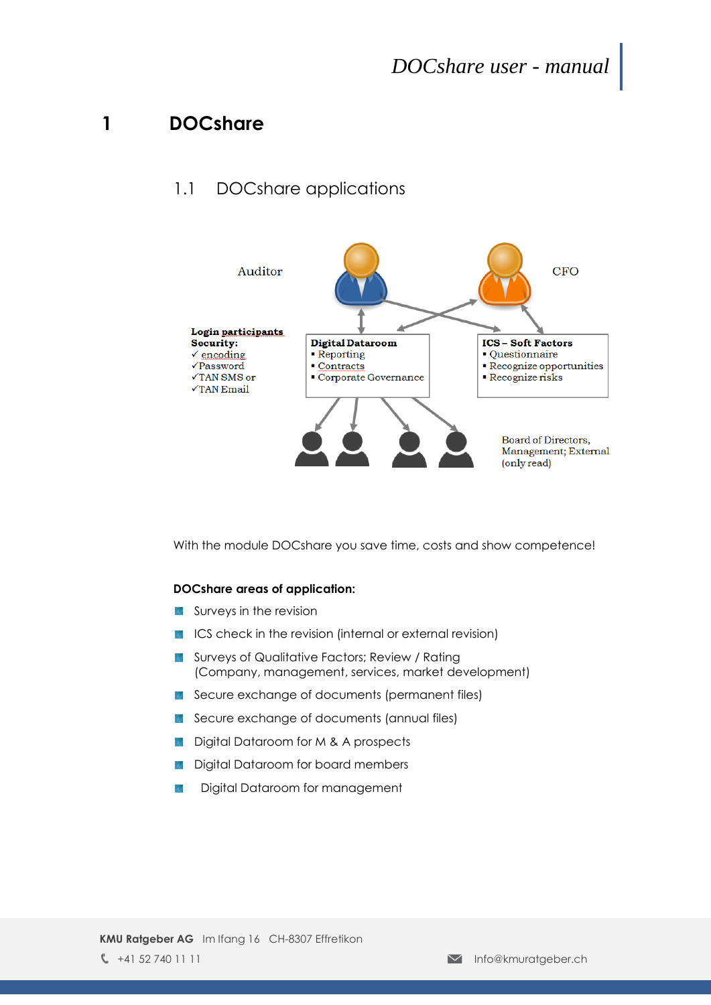### <span id="page-1-0"></span>**1 DOCshare**

#### <span id="page-1-1"></span>1.1 DOCshare applications



With the module DOCshare you save time, costs and show competence!

#### **DOCshare areas of application:**

- Surveys in the revision 終落
- ICS check in the revision (internal or external revision) 鱜
- Surveys of Qualitative Factors; Review / Rating 腾 (Company, management, services, market development)
- Secure exchange of documents (permanent files)
- Secure exchange of documents (annual files) 躨
- Digital Dataroom for M & A prospects 繎
- Digital Dataroom for board members 蹨
- Digital Dataroom for management躜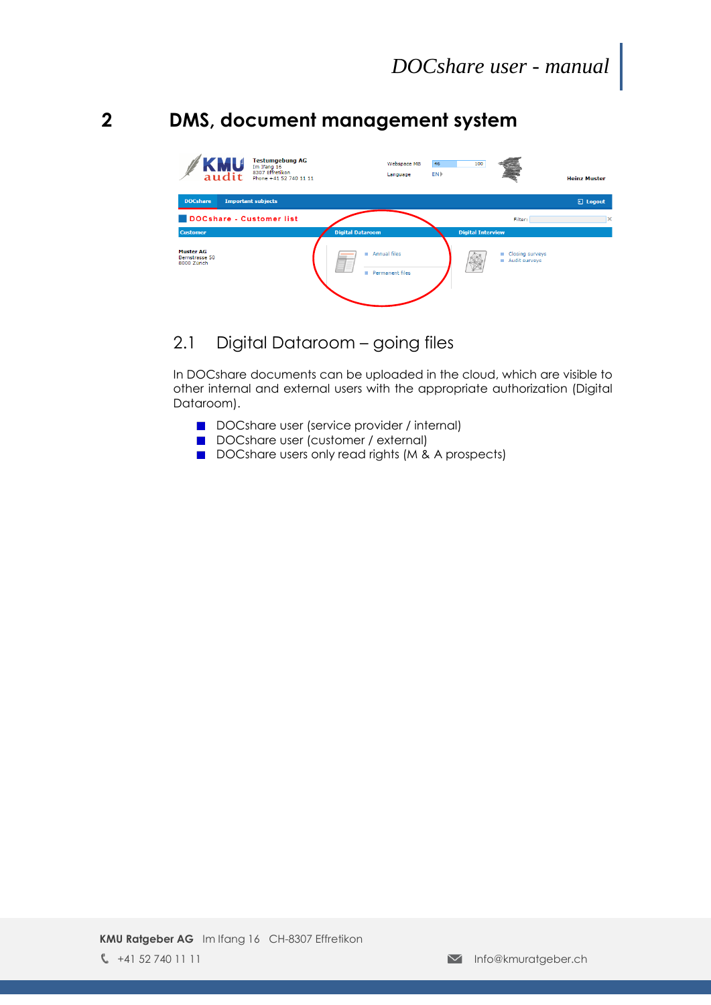### <span id="page-2-0"></span>**2 DMS, document management system**



### <span id="page-2-1"></span>2.1 Digital Dataroom – going files

In DOCshare documents can be uploaded in the cloud, which are visible to other internal and external users with the appropriate authorization (Digital Dataroom).

- DOCshare user (service provider / internal)
- DOCshare user (customer / external)
- DOCshare users only read rights (M & A prospects)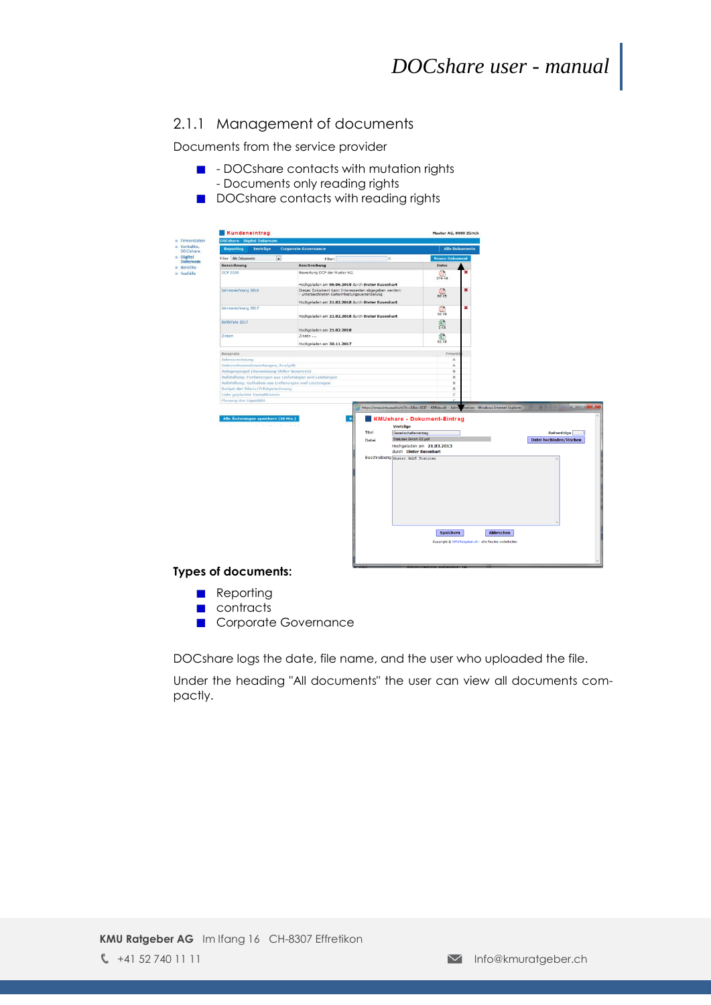#### 2.1.1 Management of documents

Documents from the service provider

- **D** DOCshare contacts with mutation rights - Documents only reading rights
- DOCshare contacts with reading rights



#### **Types of documents:**

- **Reporting**
- **n** contracts
- Corporate Governance

DOCshare logs the date, file name, and the user who uploaded the file.

Under the heading "All documents" the user can view all documents compactly.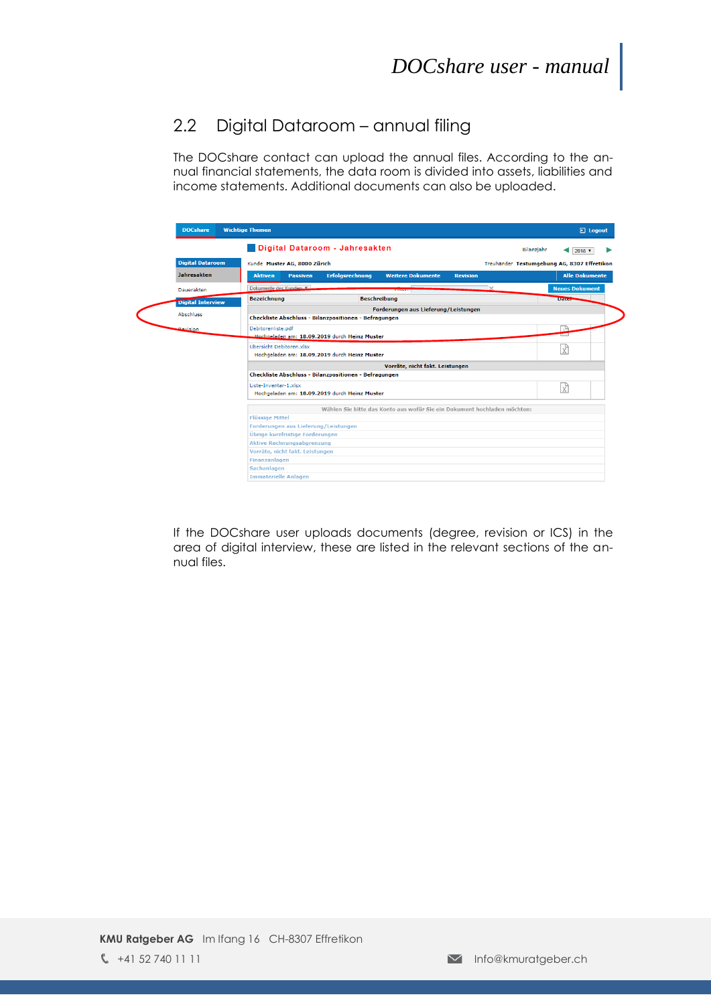#### <span id="page-4-0"></span>2.2 Digital Dataroom – annual filing

The DOCshare contact can upload the annual files. According to the annual financial statements, the data room is divided into assets, liabilities and income statements. Additional documents can also be uploaded.

| <b>DOCshare</b>          | <b>Wichtige Themen</b>                                                                                     | <b>a</b> Logout                             |
|--------------------------|------------------------------------------------------------------------------------------------------------|---------------------------------------------|
|                          | Digital Dataroom - Jahresakten                                                                             | Bilanzjahr<br>$2018$ $\blacktriangledown$   |
| <b>Digital Dataroom</b>  | Kunde Muster AG, 8000 Zürich                                                                               | Treuhänder Testumgebung AG, 8307 Effretikon |
| <b>Jahresakten</b>       | <b>Erfolgsrechnung</b><br><b>Weitere Dokumente</b><br><b>Passiven</b><br><b>Revision</b><br><b>Aktiven</b> | <b>Alle Dokumente</b>                       |
| Dauerakten               | Dokumente des Kunden<br>א⊏<br><b>THEST</b>                                                                 | <b>Neues Dokument</b>                       |
| <b>Digital Interview</b> | <b>Beschreibung</b><br><b>Bezeichnung</b>                                                                  | <b>Date:</b>                                |
|                          | Forderungen aus Lieferung/Leistungen                                                                       |                                             |
| <b>Abschluss</b>         | Checkliste Abschluss - Bilanzpositionen - Befragungen                                                      |                                             |
| <b>Revision</b>          | Debitorenliste.pdf                                                                                         |                                             |
|                          | Hochgeladen am: 18.09.2019 durch Heinz Muster                                                              |                                             |
|                          | Übersicht Debitoren.xlsx                                                                                   | $\vec{x}$                                   |
|                          | Hochgeladen am: 18.09.2019 durch Heinz Muster                                                              |                                             |
|                          | Vorräte, nicht fakt. Leistungen                                                                            |                                             |
|                          | Checkliste Abschluss - Bilanzpositionen - Befragungen                                                      |                                             |
|                          | Liste-Inventar-1.xlsx                                                                                      | k                                           |
|                          | Hochgeladen am: 18.09.2019 durch Heinz Muster                                                              |                                             |
|                          | Wählen Sie bitte das Konto aus wofür Sie ein Dokument hochladen möchten:                                   |                                             |
|                          | <b>Flüssige Mittel</b>                                                                                     |                                             |
|                          | Forderungen aus Lieferung/Leistungen                                                                       |                                             |
|                          | Übrige kurzfristige Forderungen                                                                            |                                             |
|                          | <b>Aktive Rechnungsabgrenzung</b>                                                                          |                                             |
|                          | Vorräte, nicht fakt. Leistungen                                                                            |                                             |
|                          | Finanzanlagen<br>Sachanlagen                                                                               |                                             |
|                          |                                                                                                            |                                             |

If the DOCshare user uploads documents (degree, revision or ICS) in the area of digital interview, these are listed in the relevant sections of the annual files.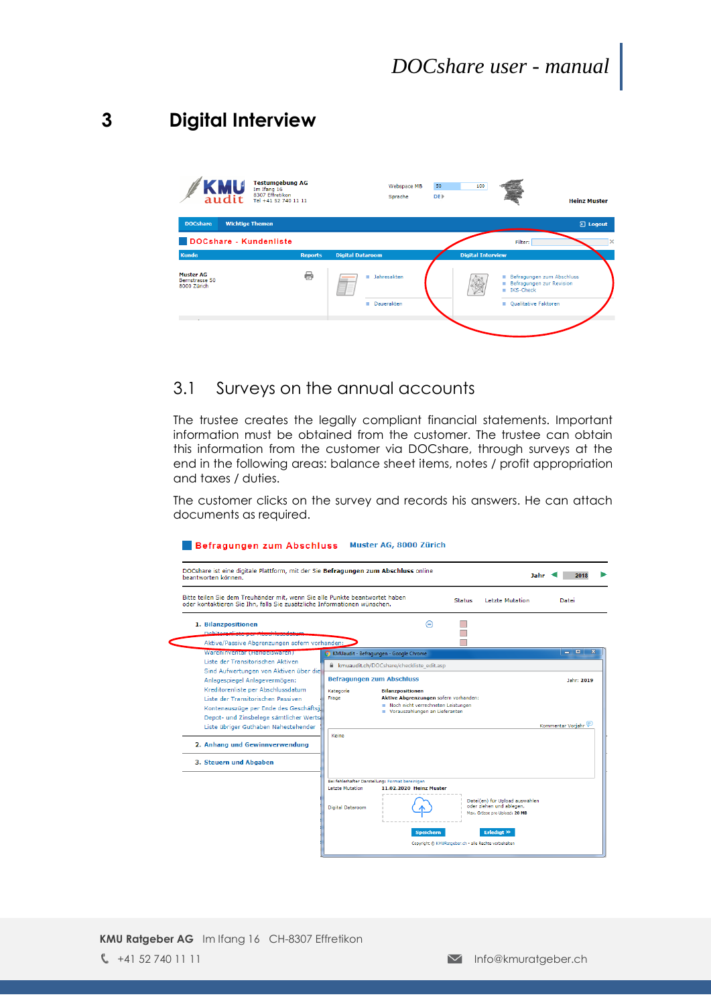## <span id="page-5-0"></span>**3 Digital Interview**



#### <span id="page-5-1"></span>3.1 Surveys on the annual accounts

The trustee creates the legally compliant financial statements. Important information must be obtained from the customer. The trustee can obtain this information from the customer via DOCshare, through surveys at the end in the following areas: balance sheet items, notes / profit appropriation and taxes / duties.

The customer clicks on the survey and records his answers. He can attach documents as required.

#### Befragungen zum Abschluss Muster AG, 8000 Zürich

| 1. Bilanzpositionen<br>⊝<br><b>Debitorealisks</b><br>Aktive/Passive Abgrenzungen sofern vorhanden:<br>Wareninvental (nandelswaren)<br>- 0<br>KMUaudit - Befragungen - Google Chrome<br>Liste der Transitorischen Aktiven<br>Randaudit.ch/DOCshare/checkliste_edit.asp<br>Sind Aufwertungen von Aktiven über die<br><b>Befragungen zum Abschluss</b><br>Anlagespiegel Anlagevermögen:<br>Jahr: 2019<br>Kreditorenliste per Abschlussdatum<br>Kategorie<br><b>Bilanzpositionen</b><br>Aktive Abgrenzungen sofern vorhanden:<br>Liste der Transitorischen Passiven<br>Frage<br>Noch nicht verrechneten Leistungen<br>Kontenauszüge per Ende des Geschäftsja<br>Vorauszahlungen an Lieferanten<br>Depot- und Zinsbelege sämtlicher Werts<br>Kommentar Vorjahr<br>Liste übriger Guthaben Nahestehender<br>Keine<br>2. Anhang und Gewinnverwendung<br>3. Steuern und Abgaben<br>Bei fehlerhafter Darstellung: Format bereinigen<br><b>Letzte Mutation</b><br>11.02.2020 Heinz Muster<br>Datei(en) für Upload auswählen<br>oder ziehen und ablegen.<br>Digital Dataroom<br>Max. Grösse pro Upload: 20 MB | oder kontaktieren Sie Ihn, falls Sie zusätzliche Informationen wünschen. | Bitte teilen Sie dem Treuhänder mit, wenn Sie alle Punkte beantwortet haben | <b>Status</b> | <b>Letzte Mutation</b> | Datei |
|---------------------------------------------------------------------------------------------------------------------------------------------------------------------------------------------------------------------------------------------------------------------------------------------------------------------------------------------------------------------------------------------------------------------------------------------------------------------------------------------------------------------------------------------------------------------------------------------------------------------------------------------------------------------------------------------------------------------------------------------------------------------------------------------------------------------------------------------------------------------------------------------------------------------------------------------------------------------------------------------------------------------------------------------------------------------------------------------------|--------------------------------------------------------------------------|-----------------------------------------------------------------------------|---------------|------------------------|-------|
|                                                                                                                                                                                                                                                                                                                                                                                                                                                                                                                                                                                                                                                                                                                                                                                                                                                                                                                                                                                                                                                                                                   |                                                                          |                                                                             |               |                        |       |
|                                                                                                                                                                                                                                                                                                                                                                                                                                                                                                                                                                                                                                                                                                                                                                                                                                                                                                                                                                                                                                                                                                   |                                                                          |                                                                             |               |                        |       |
|                                                                                                                                                                                                                                                                                                                                                                                                                                                                                                                                                                                                                                                                                                                                                                                                                                                                                                                                                                                                                                                                                                   |                                                                          |                                                                             |               |                        |       |
|                                                                                                                                                                                                                                                                                                                                                                                                                                                                                                                                                                                                                                                                                                                                                                                                                                                                                                                                                                                                                                                                                                   |                                                                          |                                                                             |               |                        |       |
|                                                                                                                                                                                                                                                                                                                                                                                                                                                                                                                                                                                                                                                                                                                                                                                                                                                                                                                                                                                                                                                                                                   |                                                                          |                                                                             |               |                        |       |
|                                                                                                                                                                                                                                                                                                                                                                                                                                                                                                                                                                                                                                                                                                                                                                                                                                                                                                                                                                                                                                                                                                   |                                                                          |                                                                             |               |                        |       |
|                                                                                                                                                                                                                                                                                                                                                                                                                                                                                                                                                                                                                                                                                                                                                                                                                                                                                                                                                                                                                                                                                                   |                                                                          |                                                                             |               |                        |       |
|                                                                                                                                                                                                                                                                                                                                                                                                                                                                                                                                                                                                                                                                                                                                                                                                                                                                                                                                                                                                                                                                                                   |                                                                          |                                                                             |               |                        |       |
|                                                                                                                                                                                                                                                                                                                                                                                                                                                                                                                                                                                                                                                                                                                                                                                                                                                                                                                                                                                                                                                                                                   |                                                                          |                                                                             |               |                        |       |

**KMU Ratgeber AG** Im Ifang 16 CH-8307 Effretikon  $\Box$  +41 52 740 11 11 Info@kmuratgeber.ch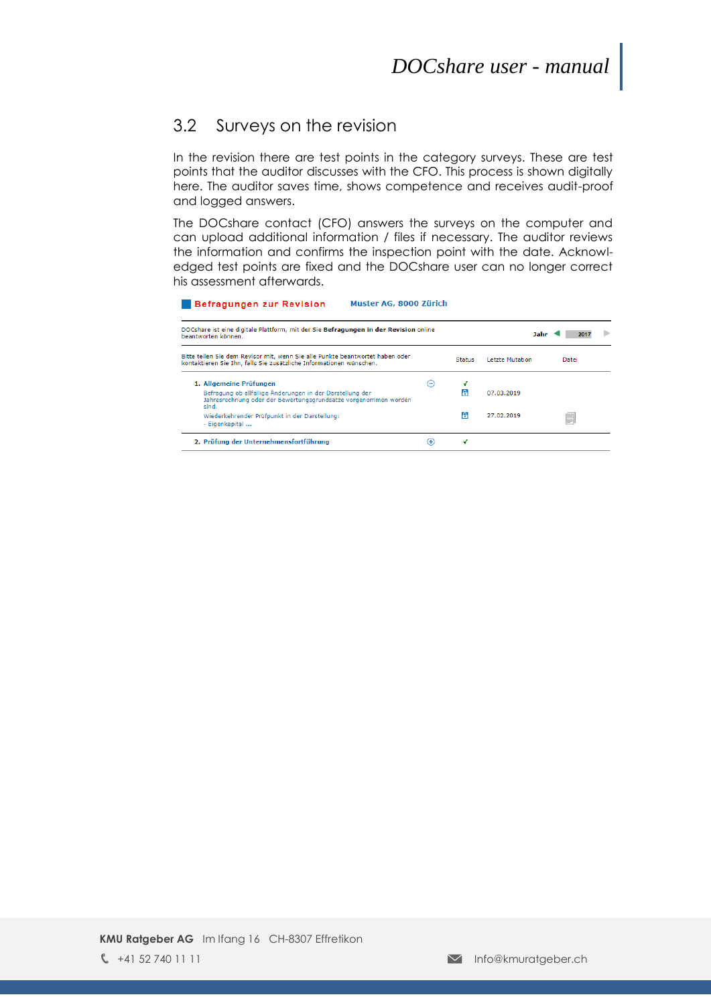#### <span id="page-6-0"></span>3.2 Surveys on the revision

In the revision there are test points in the category surveys. These are test points that the auditor discusses with the CFO. This process is shown digitally here. The auditor saves time, shows competence and receives audit-proof and logged answers.

The DOCshare contact (CFO) answers the surveys on the computer and can upload additional information / files if necessary. The auditor reviews the information and confirms the inspection point with the date. Acknowledged test points are fixed and the DOCshare user can no longer correct his assessment afterwards.

#### Befragungen zur Revision Muster AG, 8000 Zürich

| DOCshare ist eine digitale Plattform, mit der Sie Befragungen in der Revision online<br>beantworten können.                                          | Jahr<br>2017      |               |                 |       |  |
|------------------------------------------------------------------------------------------------------------------------------------------------------|-------------------|---------------|-----------------|-------|--|
| Bitte teilen Sie dem Revisor mit, wenn Sie alle Punkte beantwortet haben oder<br>kontaktieren Sie Ihn, falls Sie zusätzliche Informationen wünschen. |                   | <b>Status</b> | Letzte Mutation | Datei |  |
| 1. Allgemeine Prüfungen                                                                                                                              | $\left( -\right)$ |               |                 |       |  |
| Befragung ob allfällige Änderungen in der Darstellung der<br>Jahresrechnung oder der Bewertungsgrundsätze vorgenommen worden<br>sind.                |                   |               | 07.03.2019      |       |  |
| Wiederkehrender Prüfpunkt in der Darstellung:<br>- Eigenkapital                                                                                      |                   | А             | 27.02.2019      | ≣     |  |
| 2. Prüfung der Unternehmensfortführung                                                                                                               | Œ)                | ٠             |                 |       |  |
|                                                                                                                                                      |                   |               |                 |       |  |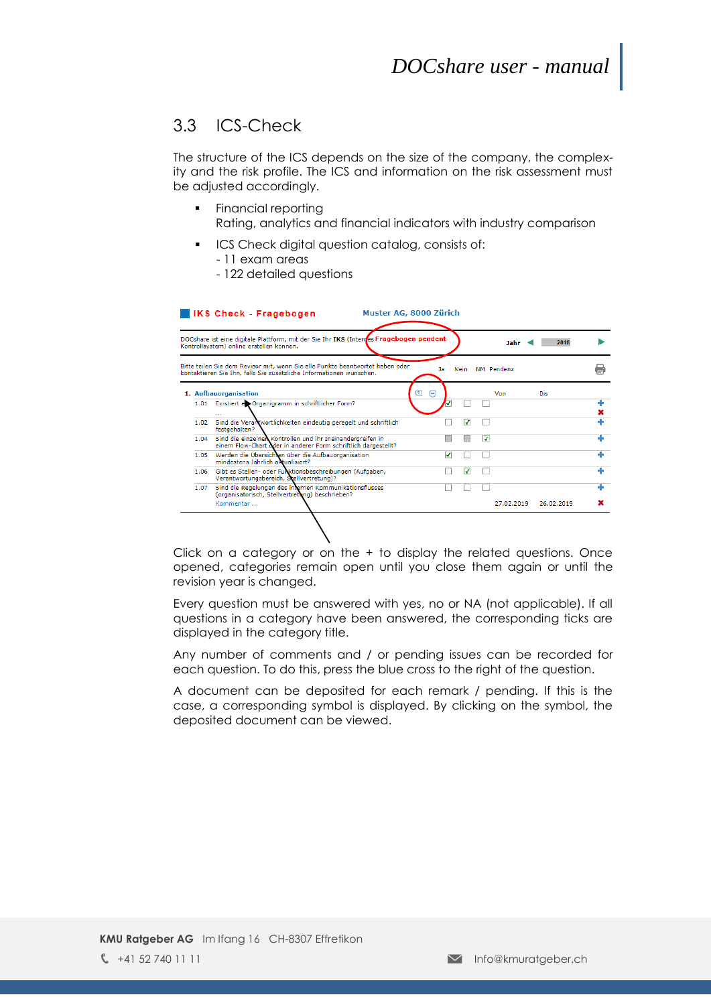#### <span id="page-7-0"></span>3.3 ICS-Check

The structure of the ICS depends on the size of the company, the complexity and the risk profile. The ICS and information on the risk assessment must be adjusted accordingly.

- Financial reporting Rating, analytics and financial indicators with industry comparison
- **ICS Check digital question catalog, consists of:** 
	- 11 exam areas
	- 122 detailed questions

|      | DOCshare ist eine digitale Plattform, mit der Sie Ihr IKS (Interres Fragebogen pendent<br>Kontrollsystem) online erstellen können.                   |        |             | Jahr       | 2018       |  |
|------|------------------------------------------------------------------------------------------------------------------------------------------------------|--------|-------------|------------|------------|--|
|      | Bitte teilen Sie dem Revisor mit, wenn Sie alle Punkte beantwortet haben oder<br>kontaktieren Sie Ihn, falls Sie zusätzliche Informationen wünschen. | Ja     | <b>Nein</b> | NM Pendenz |            |  |
|      | 1. Aufbauorganisation                                                                                                                                | ☎<br>⊝ |             | Von        | Bis        |  |
| 1.01 | Existiert et Organigramm in schriftlicher Form?<br>                                                                                                  |        |             |            |            |  |
| 1.02 | Sind die Verantwortlichkeiten eindeutig geregelt und schriftlich<br>festgehalten?                                                                    |        | ⊋           |            |            |  |
| 1.04 | Sind die einzelnen Kontrollen und ihr Ineinandergreifen in<br>einem Flow-Chart oder in anderer Form schriftlich dargestellt?                         |        |             | ⊽          |            |  |
| 1.05 | Werden die Übersichten über die Aufbauorganisation<br>mindestens Jährlich aktualisiert?                                                              | ⊋      |             |            |            |  |
| 1.06 | Gibt es Stellen- oder Funktionsbeschreibungen (Aufgaben,<br>Verantwortungsbereich, Stellvertretung)?                                                 |        | ⊽           |            |            |  |
| 1.07 | Sind die Regelungen des internen Kommunikationsflusses<br>(organisatorisch, Stellvertretung) beschrieben?                                            |        |             |            |            |  |
|      | Kommentar                                                                                                                                            |        |             | 27.02.2019 | 26.02.2019 |  |

Click on a category or on the + to display the related questions. Once opened, categories remain open until you close them again or until the revision year is changed.

Every question must be answered with yes, no or NA (not applicable). If all questions in a category have been answered, the corresponding ticks are displayed in the category title.

Any number of comments and / or pending issues can be recorded for each question. To do this, press the blue cross to the right of the question.

A document can be deposited for each remark / pending. If this is the case, a corresponding symbol is displayed. By clicking on the symbol, the deposited document can be viewed.